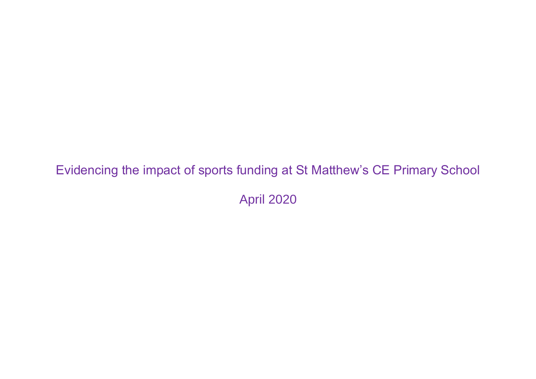## Evidencing the impact of sports funding at St Matthew's CE Primary School

April 2020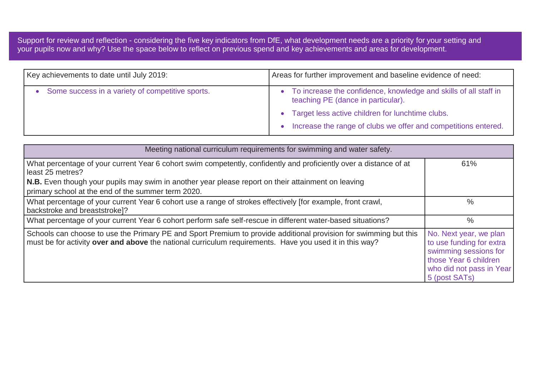Support for review and reflection - considering the five key indicators from DfE, what development needs are a priority for your setting and your pupils now and why? Use the space below to reflect on previous spend and key achievements and areas for development.

| Key achievements to date until July 2019:        | Areas for further improvement and baseline evidence of need:                                           |
|--------------------------------------------------|--------------------------------------------------------------------------------------------------------|
| Some success in a variety of competitive sports. | To increase the confidence, knowledge and skills of all staff in<br>teaching PE (dance in particular). |
|                                                  | Target less active children for lunchtime clubs.                                                       |
|                                                  | Increase the range of clubs we offer and competitions entered.                                         |

| Meeting national curriculum requirements for swimming and water safety.                                                                                                                                                     |                                                                                                                                                   |
|-----------------------------------------------------------------------------------------------------------------------------------------------------------------------------------------------------------------------------|---------------------------------------------------------------------------------------------------------------------------------------------------|
| What percentage of your current Year 6 cohort swim competently, confidently and proficiently over a distance of at<br>least 25 metres?                                                                                      | 61%                                                                                                                                               |
| N.B. Even though your pupils may swim in another year please report on their attainment on leaving<br>primary school at the end of the summer term 2020.                                                                    |                                                                                                                                                   |
| What percentage of your current Year 6 cohort use a range of strokes effectively [for example, front crawl,<br>backstroke and breaststroke]?                                                                                | $\%$                                                                                                                                              |
| What percentage of your current Year 6 cohort perform safe self-rescue in different water-based situations?                                                                                                                 | $\%$                                                                                                                                              |
| Schools can choose to use the Primary PE and Sport Premium to provide additional provision for swimming but this<br>must be for activity over and above the national curriculum requirements. Have you used it in this way? | No. Next year, we plan<br>to use funding for extra<br>swimming sessions for<br>those Year 6 children<br>who did not pass in Year<br>5 (post SATs) |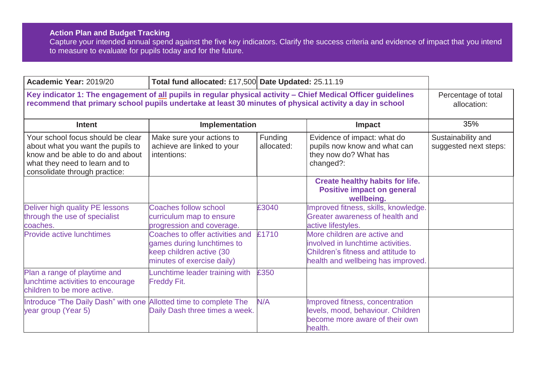## **Action Plan and Budget Tracking**

Capture your intended annual spend against the five key indicators. Clarify the success criteria and evidence of impact that you intend to measure to evaluate for pupils today and for the future.

| Academic Year: 2019/20                                                                                                                                                                                                   | Total fund allocated: £17,500 Date Updated: 25.11.19                                                                    |                       |                                                                                                                                               |                                             |
|--------------------------------------------------------------------------------------------------------------------------------------------------------------------------------------------------------------------------|-------------------------------------------------------------------------------------------------------------------------|-----------------------|-----------------------------------------------------------------------------------------------------------------------------------------------|---------------------------------------------|
| Key indicator 1: The engagement of all pupils in regular physical activity - Chief Medical Officer guidelines<br>recommend that primary school pupils undertake at least 30 minutes of physical activity a day in school |                                                                                                                         |                       |                                                                                                                                               | Percentage of total<br>allocation:          |
| <b>Intent</b>                                                                                                                                                                                                            | Implementation                                                                                                          |                       | <b>Impact</b>                                                                                                                                 | 35%                                         |
| Your school focus should be clear<br>about what you want the pupils to<br>know and be able to do and about<br>what they need to learn and to<br>consolidate through practice:                                            | Make sure your actions to<br>achieve are linked to your<br>intentions:                                                  | Funding<br>allocated: | Evidence of impact: what do<br>pupils now know and what can<br>they now do? What has<br>changed?:                                             | Sustainability and<br>suggested next steps: |
|                                                                                                                                                                                                                          |                                                                                                                         |                       | <b>Create healthy habits for life.</b><br><b>Positive impact on general</b><br>wellbeing.                                                     |                                             |
| Deliver high quality PE lessons<br>through the use of specialist<br>coaches.                                                                                                                                             | Coaches follow school<br>curriculum map to ensure<br>progression and coverage.                                          | £3040                 | Improved fitness, skills, knowledge.<br>Greater awareness of health and<br>active lifestyles.                                                 |                                             |
| <b>Provide active lunchtimes</b>                                                                                                                                                                                         | Coaches to offer activities and<br>games during lunchtimes to<br>keep children active (30<br>minutes of exercise daily) | £1710                 | More children are active and<br>involved in lunchtime activities.<br>Children's fitness and attitude to<br>health and wellbeing has improved. |                                             |
| Plan a range of playtime and<br>lunchtime activities to encourage<br>children to be more active.                                                                                                                         | unchtime leader training with<br><b>Freddy Fit.</b>                                                                     | £350                  |                                                                                                                                               |                                             |
| Introduce "The Daily Dash" with one Allotted time to complete The<br>year group (Year 5)                                                                                                                                 | Daily Dash three times a week.                                                                                          | N/A                   | Improved fitness, concentration<br>levels, mood, behaviour. Children<br>become more aware of their own<br>health.                             |                                             |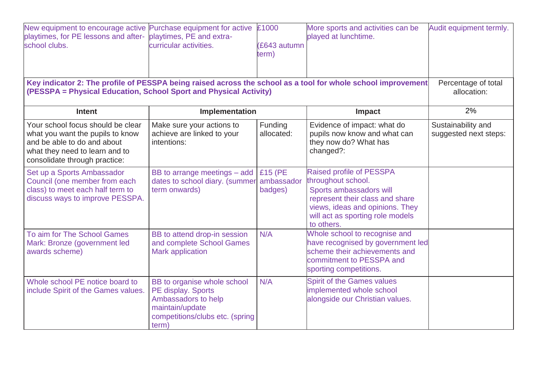| New equipment to encourage active Purchase equipment for active<br>playtimes, for PE lessons and after- playtimes, PE and extra-<br>school clubs.<br>(PESSPA = Physical Education, School Sport and Physical Activity) | curricular activities.                                                                                                                  | £1000<br>(£643 autumn<br>term)   | More sports and activities can be<br>played at lunchtime.<br>Key indicator 2: The profile of PESSPA being raised across the school as a tool for whole school improvement                         | Audit equipment termly.<br>Percentage of total<br>allocation: |
|------------------------------------------------------------------------------------------------------------------------------------------------------------------------------------------------------------------------|-----------------------------------------------------------------------------------------------------------------------------------------|----------------------------------|---------------------------------------------------------------------------------------------------------------------------------------------------------------------------------------------------|---------------------------------------------------------------|
| <b>Intent</b>                                                                                                                                                                                                          | Implementation                                                                                                                          |                                  | Impact                                                                                                                                                                                            | 2%                                                            |
| Your school focus should be clear<br>what you want the pupils to know<br>and be able to do and about<br>what they need to learn and to<br>consolidate through practice:                                                | Make sure your actions to<br>achieve are linked to your<br>intentions:                                                                  | Funding<br>allocated:            | Evidence of impact: what do<br>pupils now know and what can<br>they now do? What has<br>changed?:                                                                                                 | Sustainability and<br>suggested next steps:                   |
| Set up a Sports Ambassador<br>Council (one member from each<br>class) to meet each half term to<br>discuss ways to improve PESSPA.                                                                                     | BB to arrange meetings - add<br>dates to school diary. (summer<br>term onwards)                                                         | £15 (PE<br>ambassador<br>badges) | Raised profile of PESSPA<br>throughout school.<br>Sports ambassadors will<br>represent their class and share<br>views, ideas and opinions. They<br>will act as sporting role models<br>to others. |                                                               |
| To aim for The School Games<br>Mark: Bronze (government led<br>awards scheme)                                                                                                                                          | BB to attend drop-in session<br>and complete School Games<br><b>Mark application</b>                                                    | N/A                              | Whole school to recognise and<br>have recognised by government led<br>scheme their achievements and<br>commitment to PESSPA and<br>sporting competitions.                                         |                                                               |
| Whole school PE notice board to<br>include Spirit of the Games values.                                                                                                                                                 | BB to organise whole school<br>PE display. Sports<br>Ambassadors to help<br>maintain/update<br>competitions/clubs etc. (spring<br>term) | N/A                              | <b>Spirit of the Games values</b><br>implemented whole school<br>alongside our Christian values.                                                                                                  |                                                               |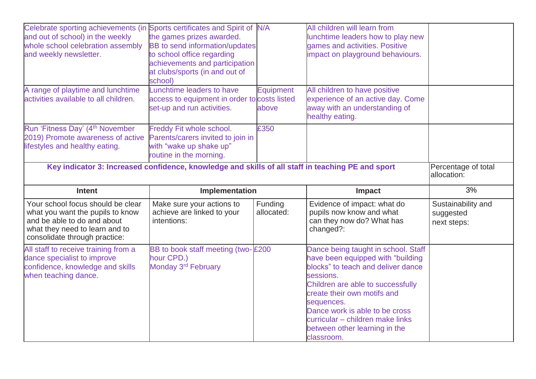| Celebrate sporting achievements (in Sports certificates and Spirit of N/A<br>and out of school) in the weekly<br>whole school celebration assembly<br>and weekly newsletter. | the games prizes awarded.<br>BB to send information/updates<br>to school office regarding<br>achievements and participation<br>at clubs/sports (in and out of<br>school) |                           | All children will learn from<br>lunchtime leaders how to play new<br>games and activities. Positive<br>impact on playground behaviours. |                                                |
|------------------------------------------------------------------------------------------------------------------------------------------------------------------------------|--------------------------------------------------------------------------------------------------------------------------------------------------------------------------|---------------------------|-----------------------------------------------------------------------------------------------------------------------------------------|------------------------------------------------|
| A range of playtime and lunchtime<br>activities available to all children.                                                                                                   | Lunchtime leaders to have<br>access to equipment in order to costs listed<br>set-up and run activities.                                                                  | <b>Equipment</b><br>above | All children to have positive<br>experience of an active day. Come<br>away with an understanding of<br>healthy eating.                  |                                                |
| Run 'Fitness Day' (4 <sup>th</sup> November<br>2019) Promote awareness of active<br>lifestyles and healthy eating.                                                           | Freddy Fit whole school.<br>Parents/carers invited to join in<br>with "wake up shake up"<br>routine in the morning.                                                      | £350                      |                                                                                                                                         |                                                |
|                                                                                                                                                                              | Key indicator 3: Increased confidence, knowledge and skills of all staff in teaching PE and sport                                                                        |                           |                                                                                                                                         | Percentage of total<br>allocation:             |
|                                                                                                                                                                              |                                                                                                                                                                          |                           |                                                                                                                                         |                                                |
| <b>Intent</b>                                                                                                                                                                | Implementation                                                                                                                                                           |                           | <b>Impact</b>                                                                                                                           | 3%                                             |
| Your school focus should be clear<br>what you want the pupils to know<br>and be able to do and about<br>what they need to learn and to<br>consolidate through practice:      | Make sure your actions to<br>achieve are linked to your<br>intentions:                                                                                                   | Funding<br>allocated:     | Evidence of impact: what do<br>pupils now know and what<br>can they now do? What has<br>changed?:                                       | Sustainability and<br>suggested<br>next steps: |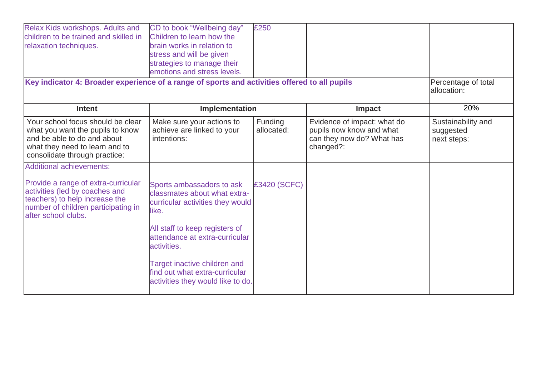| Relax Kids workshops. Adults and<br>children to be trained and skilled in<br>relaxation techniques.<br>Key indicator 4: Broader experience of a range of sports and activities offered to all pupils | CD to book "Wellbeing day"<br>Children to learn how the<br>brain works in relation to<br>stress and will be given<br>strategies to manage their<br>emotions and stress levels. | £250                  |                                                                                                   | Percentage of total<br>allocation:             |
|------------------------------------------------------------------------------------------------------------------------------------------------------------------------------------------------------|--------------------------------------------------------------------------------------------------------------------------------------------------------------------------------|-----------------------|---------------------------------------------------------------------------------------------------|------------------------------------------------|
| <b>Intent</b>                                                                                                                                                                                        | Implementation                                                                                                                                                                 |                       | <b>Impact</b>                                                                                     | 20%                                            |
| Your school focus should be clear<br>what you want the pupils to know<br>and be able to do and about<br>what they need to learn and to<br>consolidate through practice:                              | Make sure your actions to<br>achieve are linked to your<br>intentions:                                                                                                         | Funding<br>allocated: | Evidence of impact: what do<br>pupils now know and what<br>can they now do? What has<br>changed?: | Sustainability and<br>suggested<br>next steps: |
| <b>Additional achievements:</b>                                                                                                                                                                      |                                                                                                                                                                                |                       |                                                                                                   |                                                |
| Provide a range of extra-curricular<br>activities (led by coaches and<br>teachers) to help increase the<br>number of children participating in<br>after school clubs.                                | Sports ambassadors to ask<br>classmates about what extra-<br>curricular activities they would<br>like.                                                                         | £3420 (SCFC)          |                                                                                                   |                                                |
|                                                                                                                                                                                                      | All staff to keep registers of<br>attendance at extra-curricular<br>activities.                                                                                                |                       |                                                                                                   |                                                |
|                                                                                                                                                                                                      | Target inactive children and<br>find out what extra-curricular<br>activities they would like to do.                                                                            |                       |                                                                                                   |                                                |